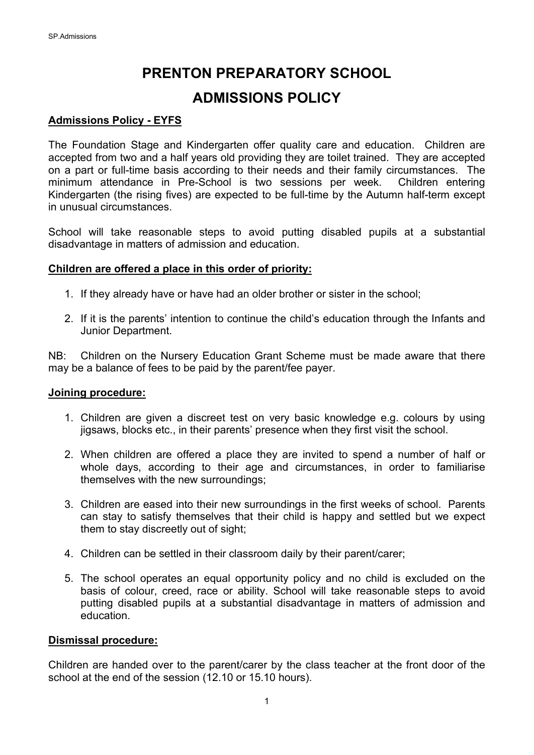# **PRENTON PREPARATORY SCHOOL**

# **ADMISSIONS POLICY**

## **Admissions Policy - EYFS**

The Foundation Stage and Kindergarten offer quality care and education. Children are accepted from two and a half years old providing they are toilet trained. They are accepted on a part or full-time basis according to their needs and their family circumstances. The minimum attendance in Pre-School is two sessions per week. Children entering Kindergarten (the rising fives) are expected to be full-time by the Autumn half-term except in unusual circumstances.

School will take reasonable steps to avoid putting disabled pupils at a substantial disadvantage in matters of admission and education.

### **Children are offered a place in this order of priority:**

- 1. If they already have or have had an older brother or sister in the school;
- 2. If it is the parents' intention to continue the child's education through the Infants and Junior Department.

NB: Children on the Nursery Education Grant Scheme must be made aware that there may be a balance of fees to be paid by the parent/fee payer.

#### **Joining procedure:**

- 1. Children are given a discreet test on very basic knowledge e.g. colours by using jigsaws, blocks etc., in their parents' presence when they first visit the school.
- 2. When children are offered a place they are invited to spend a number of half or whole days, according to their age and circumstances, in order to familiarise themselves with the new surroundings;
- 3. Children are eased into their new surroundings in the first weeks of school. Parents can stay to satisfy themselves that their child is happy and settled but we expect them to stay discreetly out of sight;
- 4. Children can be settled in their classroom daily by their parent/carer;
- 5. The school operates an equal opportunity policy and no child is excluded on the basis of colour, creed, race or ability. School will take reasonable steps to avoid putting disabled pupils at a substantial disadvantage in matters of admission and education.

#### **Dismissal procedure:**

Children are handed over to the parent/carer by the class teacher at the front door of the school at the end of the session (12.10 or 15.10 hours).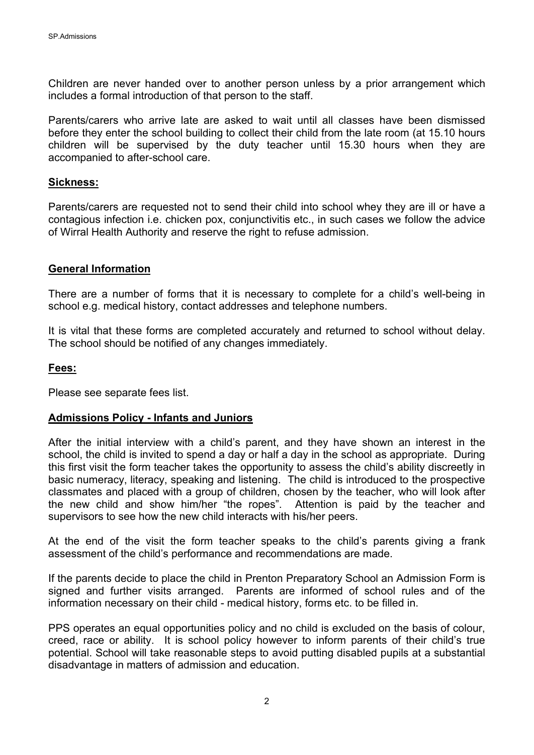Children are never handed over to another person unless by a prior arrangement which includes a formal introduction of that person to the staff.

Parents/carers who arrive late are asked to wait until all classes have been dismissed before they enter the school building to collect their child from the late room (at 15.10 hours children will be supervised by the duty teacher until 15.30 hours when they are accompanied to after-school care.

#### **Sickness:**

Parents/carers are requested not to send their child into school whey they are ill or have a contagious infection i.e. chicken pox, conjunctivitis etc., in such cases we follow the advice of Wirral Health Authority and reserve the right to refuse admission.

#### **General Information**

There are a number of forms that it is necessary to complete for a child's well-being in school e.g. medical history, contact addresses and telephone numbers.

It is vital that these forms are completed accurately and returned to school without delay. The school should be notified of any changes immediately.

#### **Fees:**

Please see separate fees list.

#### **Admissions Policy - Infants and Juniors**

After the initial interview with a child's parent, and they have shown an interest in the school, the child is invited to spend a day or half a day in the school as appropriate. During this first visit the form teacher takes the opportunity to assess the child's ability discreetly in basic numeracy, literacy, speaking and listening. The child is introduced to the prospective classmates and placed with a group of children, chosen by the teacher, who will look after the new child and show him/her "the ropes". Attention is paid by the teacher and supervisors to see how the new child interacts with his/her peers.

At the end of the visit the form teacher speaks to the child's parents giving a frank assessment of the child's performance and recommendations are made.

If the parents decide to place the child in Prenton Preparatory School an Admission Form is signed and further visits arranged. Parents are informed of school rules and of the information necessary on their child - medical history, forms etc. to be filled in.

PPS operates an equal opportunities policy and no child is excluded on the basis of colour, creed, race or ability. It is school policy however to inform parents of their child's true potential. School will take reasonable steps to avoid putting disabled pupils at a substantial disadvantage in matters of admission and education.